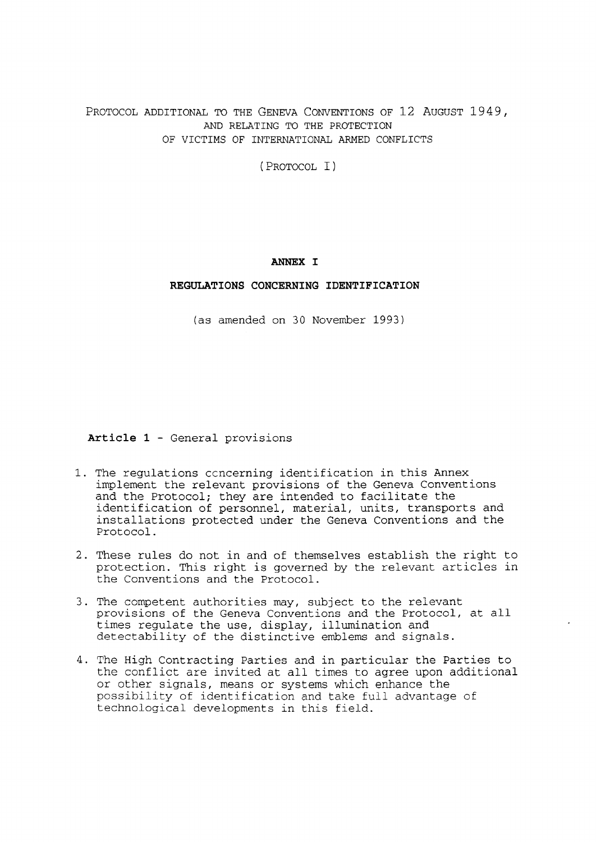PROTOCOL ADDITIONAL TO THE GENEVA CONVENTIONS OF 12 AUGUST 1949, AND RELATING TO THE PROTECTION OF VICTIMS OF INTERNATIONAL ARMED CONFLICTS

(PROTOCOL I)

## **ANNEX I**

#### **REGULATIONS CONCERNING IDENTIFICATION**

(as amended on 30 November 1993)

**Article 1 -** General provisions

- 1. The regulations concerning identification in this Annex implement the relevant provisions of the Geneva Conventions and the Protocol; they are intended to facilitate the identification of personnel, material, units, transports and installations protected under the Geneva Conventions and the Protocol.
- 2. These rules do not in and of themselves establish the right to protection. This right is governed by the relevant articles in the Conventions and the Protocol.
- 3. The competent authorities may, subject to the relevant provisions of the Geneva Conventions and the Protocol, at all times regulate the use, display, illumination and detectability of the distinctive emblems and signals.
- 4. The High Contracting Parties and in particular the Parties to the conflict are invited at all times to agree upon additional or other signals, means or systems which enhance the possibility of identification and take full advantage of technological developments in this field.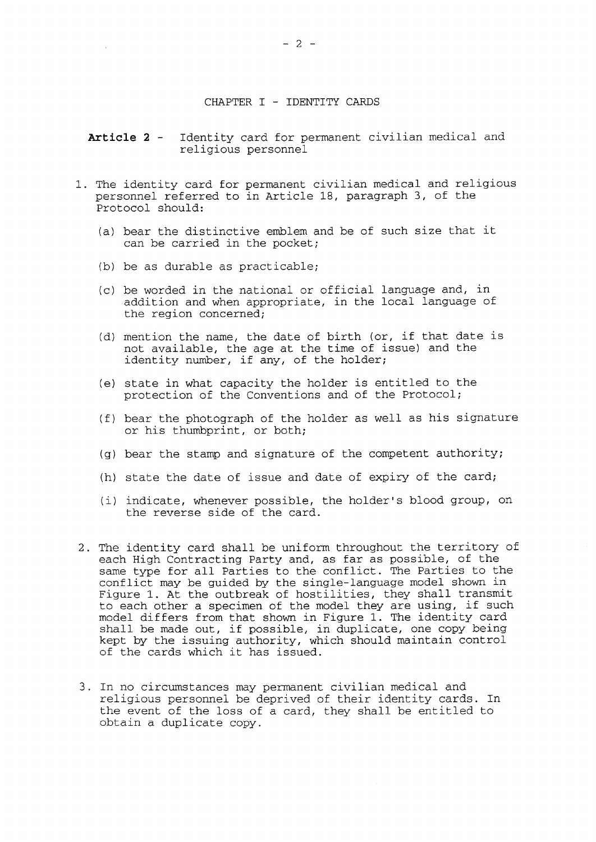#### CHAPTER I - IDENTITY CARDS

## **Article 2 -** Identity card for permanent civilian medical and religious personnel

- 1. The identity card for permanent civilian medical and religious personnel referred to in Article 18, paragraph 3, of the Protocol should:
	- (a) bear the distinctive emblem and be of such size that it can be carried in the pocket;
	- (b) be as durable as practicable;
	- (c) be worded in the national or official language and, in addition and when appropriate, in the local language of the region concerned;
	- (d) mention the name, the date of birth (or, if that date is not available, the age at the time of issue) and the identity number, if any, of the holder;
	- (e) state in what capacity the holder is entitled to the protection of the Conventions and of the Protocol;
	- (f) bear the photograph of the holder as well as his signature or his thumbprint, or both;
	- (g) bear the stamp and signature of the competent authority;
	- (h) state the date of issue and date of expiry of the card;
	- (i) indicate, whenever possible, the holder's blood group, on the reverse side of the card.
- 2. The identity card shall be uniform throughout the territory of each High Contracting Party and, as far as possible, of the same type for all Parties to the conflict. The Parties to the conflict may be guided by the single-language model shown in Figure 1. At the outbreak of hostilities, they shall transmit to each other a specimen of the model they are using, if such model differs from that shown in Figure 1. The identity card shall be made out, if possible, in duplicate, one copy being kept by the issuing authority, which should maintain control of the cards which it has issued.
- 3. In no circumstances may permanent civilian medical and religious personnel be deprived of their identity cards. In the event of the loss of a card, they shall be entitled to obtain a duplicate copy.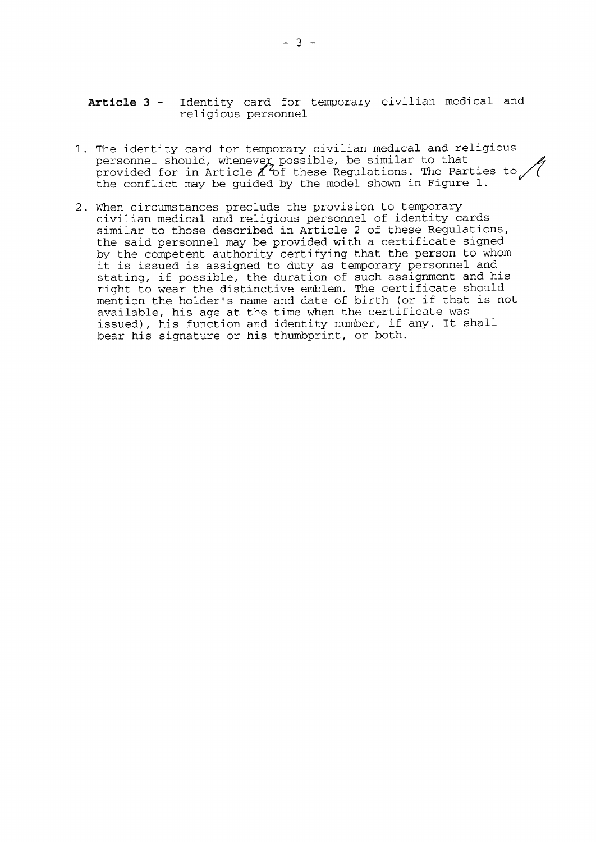**Article 3 -** Identity card for temporary civilian medical and religious personnel

- 1. The identity card for temporary civilian medical and religious personnel should, whenever possible, be similar to that provided for in Article 2 **of** these Regulations. The Parties to the conflict may be guided by the model shown in Figure 1.
- 2. When circumstances preclude the provision to temporary civilian medical and religious personnel of identity cards similar to those described in Article 2 of these Regulations, the said personnel may be provided with a certificate signed by the competent authority certifying that the person to whom it is issued is assigned to duty as temporary personnel and stating, if possible, the duration of such assignment and his right to wear the distinctive emblem. The certificate should mention the holder's name and date of birth (or if that is not available, his age at the time when the certificate was issued), his function and identity number, if any. It shall bear his signature or his thumbprint, or both.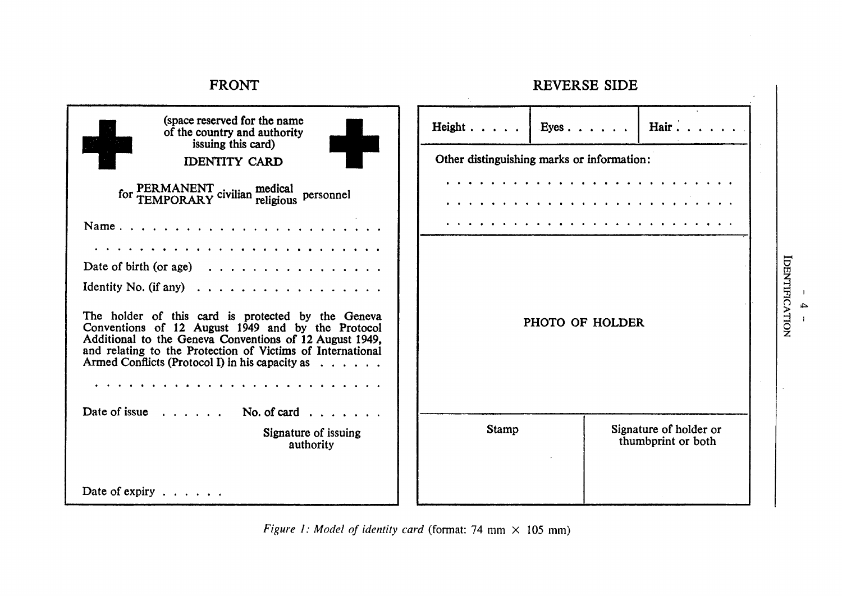(space reserved for the name of the country and authority issuing this card) **IDENTITY CARD** FRONT<br>
(space reserved for the name<br>
of the country and authority<br>
issuing this card)<br>
IDENTITY CARD<br>
for PERMANENT civilian medical<br>
ersonnel<br>
Civity (graps) Tamps of the Manus Contract of The Manus Contract of The Manus Contract of The Manus Contract of The Manus Contract of The Manus Contract of The Manus Contract of The Manus Contract of The Manus Contract of The Manus Contr Identity No. (if any) Date of birth (or age)  $\ldots$ ,  $\ldots$ ,  $\ldots$ ,  $\ldots$   $\mathbf{F}$  and  $\mathbf{F}$  and  $\mathbf{F}$  and  $\mathbf{F}$  and  $\mathbf{F}$  and  $\mathbf{F}$  are the set of  $\mathbf{F}$ The holder of this card is protected by the Geneva Conventions of 12 August 1949 and by the Protocol Additional to the Geneva Conventions of 12 August 1949, and relating to the Protection of Victims of International Armed Conflicts (Protocol I) in his capacity as  $\dots \dots$ Armed Conflicts (Protocol I) in his capacity as Date of issue No. of card Signature of issuing authority The holder of<br>Conventions of<br>Additional to the<br>and relating to t<br>Armed Conflicts (<br> $\cdots$ ........<br>Date of issue...<br>Date of expiry... Height 1. Eyes **1 Hair** Other **distinguishing marks** or information: PHOTO OF HOLDER Stamp Signature of holder or thumbprint or both

*Figure 1: Model of identity card (format: 74 mm*  $\times$  *105 mm)* 

IDENTIFICATION  $\Delta$ 

**FRONT REVERSE SIDE**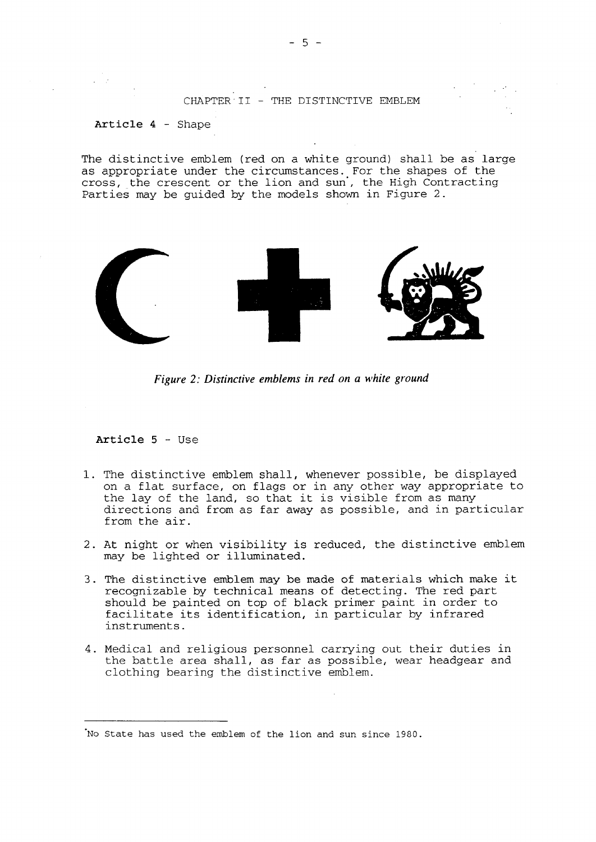CHAPTER II - THE DISTINCTIVE EMBLEM

Article 4 - Shape

The distinctive emblem (red on a white ground) shall be as large as appropriate under the circumstances. For the shapes of the cross, the crescent or the lion and sun', the High Contracting Parties may be guided by the models shown in Figure 2.



*Figure 2: Distinctive emblems in red on a white ground*

## Article 5 - Use

- 1. The distinctive emblem shall, whenever possible, be displayed on a flat surface, on flags or in any other way appropriate to the lay of the land, so that it is visible from as many directions and from as far away as possible, and in particular from the air.
- 2. At night or when visibility is reduced, the distinctive emblem may be lighted or illuminated.
- 3. The distinctive emblem may be made of materials which make it recognizable by technical means of detecting. The red part should be painted on top of black primer paint in order to facilitate its identification, in particular by infrared instruments.
- 4. Medical and religious personnel carrying out their duties in the battle area shall, as far as possible, wear headgear and clothing bearing the distinctive emblem.

<sup>&#</sup>x27;No State has used the emblem of the lion and sun since 1980.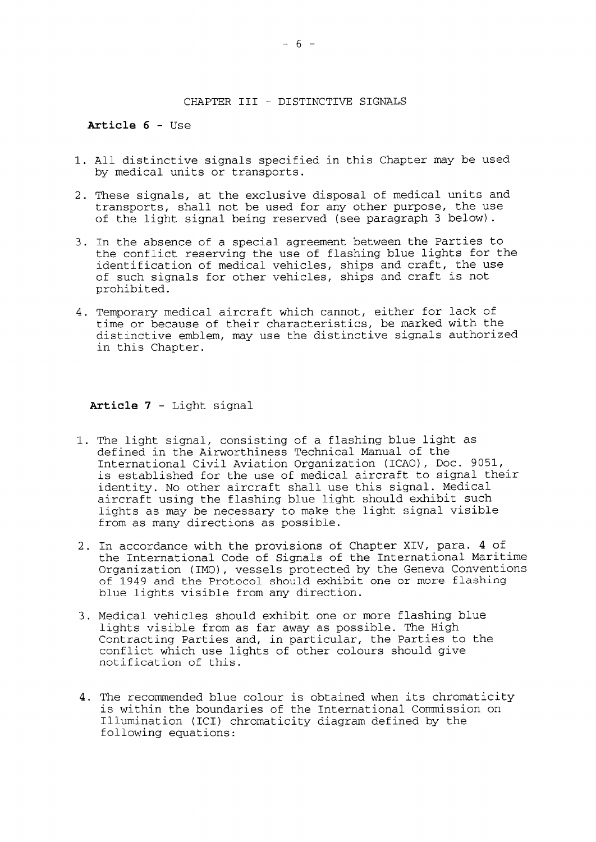#### CHAPTER III - DISTINCTIVE SIGNALS

# **Article 6 -** Use

- 1. All distinctive signals specified in this Chapter may be used by medical units or transports.
- 2. These signals, at the exclusive disposal of medical units and transports, shall not be used for any other purpose, the use of the light signal being reserved (see paragraph 3 below).
- 3. In the absence of a special agreement between the Parties to the conflict reserving the use of flashing blue lights for the identification of medical vehicles, ships and craft, the use of such signals for other vehicles, ships and craft is not prohibited.
- 4. Temporary medical aircraft which cannot, either for lack of time or because of their characteristics, be marked with the distinctive emblem, may use the distinctive signals authorized in this Chapter.

## **Article 7 -** Light signal

- 1. The light signal, consisting of a flashing blue light as defined in the Airworthiness Technical Manual of the International Civil Aviation Organization (ICAO), Doc. 9051, is established for the use of medical aircraft to signal their identity. No other aircraft shall use this signal. Medical aircraft using the flashing blue light should exhibit such lights as may be necessary to make the light signal visible from as many directions as possible.
- 2. In accordance with the provisions of Chapter XIV, para. 4 of the International Code of Signals of the International Maritime Organization (IMO), vessels protected by the Geneva Conventions of 1949 and the Protocol should exhibit one or more flashing blue lights visible from any direction.
- 3. Medical vehicles should exhibit one or more flashing blue lights visible from as far away as possible. The High Contracting Parties and, in particular, the Parties to the conflict which use lights of other colours should give notification of this.
- 4. The recommended blue colour is obtained when its chromaticity is within the boundaries of the International Commission on Illumination (ICI) chromaticity diagram defined by the following equations: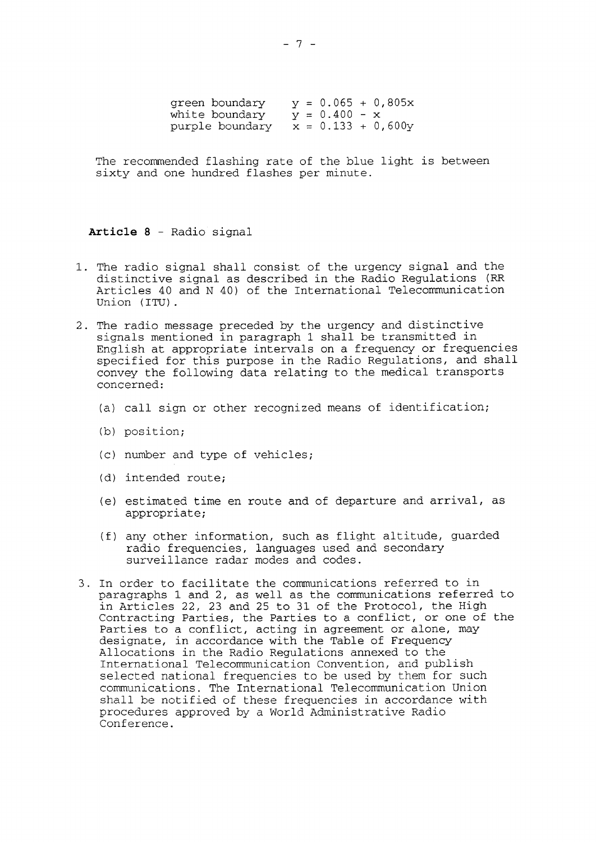| green boundary  |  |                 | $y = 0.065 + 0.805x$ |
|-----------------|--|-----------------|----------------------|
| white boundary  |  | $y = 0.400 - x$ |                      |
| purple boundary |  |                 | $x = 0.133 + 0,600y$ |

The recommended flashing rate of the blue light is between sixty and one hundred flashes per minute.

#### **Article 8 -** Radio signal

- 1. The radio signal shall consist of the urgency signal and the distinctive signal as described in the Radio Regulations (RR Articles 40 and N 40) of the International Telecommunication Union (ITU).
- 2. The radio message preceded by the urgency and distinctive signals mentioned in paragraph 1 shall be transmitted in English at appropriate intervals on a frequency or frequencies specified for this purpose in the Radio Regulations, and shall convey the following data relating to the medical transports concerned:
	- (a) call sign or other recognized means of identification;
	- (b) position;
	- (c) number and type of vehicles;
	- (d) intended route;
	- (e) estimated time en route and of departure and arrival, as appropriate;
	- (f) any other information, such as flight altitude, guarded radio frequencies, languages used and secondary surveillance radar modes and codes.
- 3. In order to facilitate the communications referred to in paragraphs 1 and 2, as well as the communications referred to in Articles 22, 23 and 25 to 31 of the Protocol, the High Contracting Parties, the Parties to a conflict, or one of the Parties to a conflict, acting in agreement or alone, may designate, in accordance with the Table of Frequency Allocations in the Radio Regulations annexed to the International Telecommunication Convention, and publish selected national frequencies to be used by them for such communications. The International Telecommunication Union shall be notified of these frequencies in accordance with procedures approved by a World Administrative Radio Conference.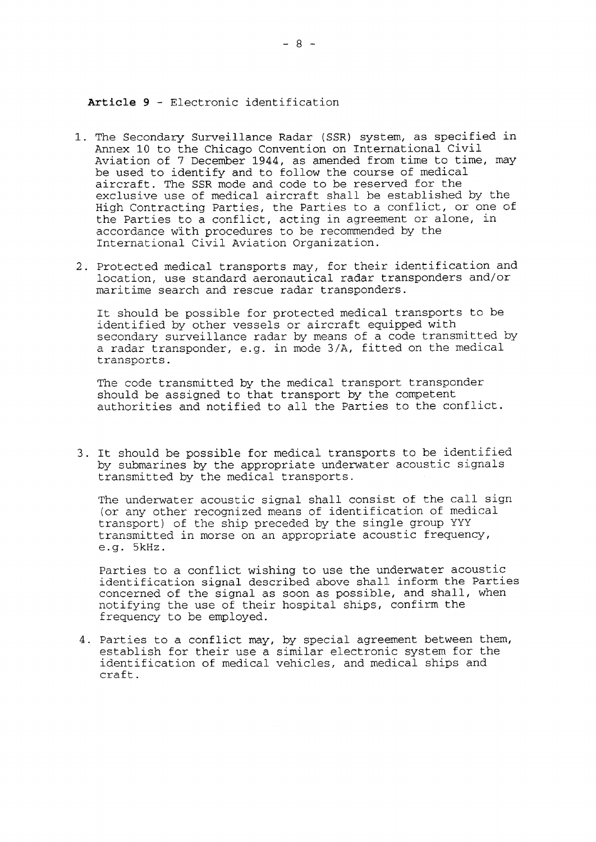**Article 9 -** Electronic identification

- 1. The Secondary Surveillance Radar (SSR) system, as specified in Annex 10 to the Chicago Convention on International Civil Aviation of 7 December 1944, as amended from time to time, may be used to identify and to follow the course of medical aircraft. The SSR mode and code to be reserved for the exclusive use of medical aircraft shall be established by the High Contracting Parties, the Parties to a conflict, or one of the Parties to a conflict, acting in agreement or alone, in accordance with procedures to be recommended by the International Civil Aviation Organization.
- 2. Protected medical transports may, for their identification and location, use standard aeronautical radar transponders and/or maritime search and rescue radar transponders.

It should be possible for protected medical transports to be identified by other vessels or aircraft equipped with secondary surveillance radar by means of a code transmitted by a radar transponder, e.g. in mode 3/A, fitted on the medical transports.

The code transmitted by the medical transport transponder should be assigned to that transport by the competent authorities and notified to all the Parties to the conflict.

3. It should be possible for medical transports to be identified by submarines by the appropriate underwater acoustic signals transmitted by the medical transports.

The underwater acoustic signal shall consist of the call sign (or any other recognized means of identification of medical transport) of the ship preceded by the single group YYY transmitted in morse on an appropriate acoustic frequency, e.g. 5kHz.

Parties to a conflict wishing to use the underwater acoustic identification signal described above shall inform the Parties concerned of the signal as soon as possible, and shall, when notifying the use of their hospital ships, confirm the frequency to be employed.

4. Parties to a conflict may, by special agreement between them, establish for their use a similar electronic system for the identification of medical vehicles, and medical ships and craft.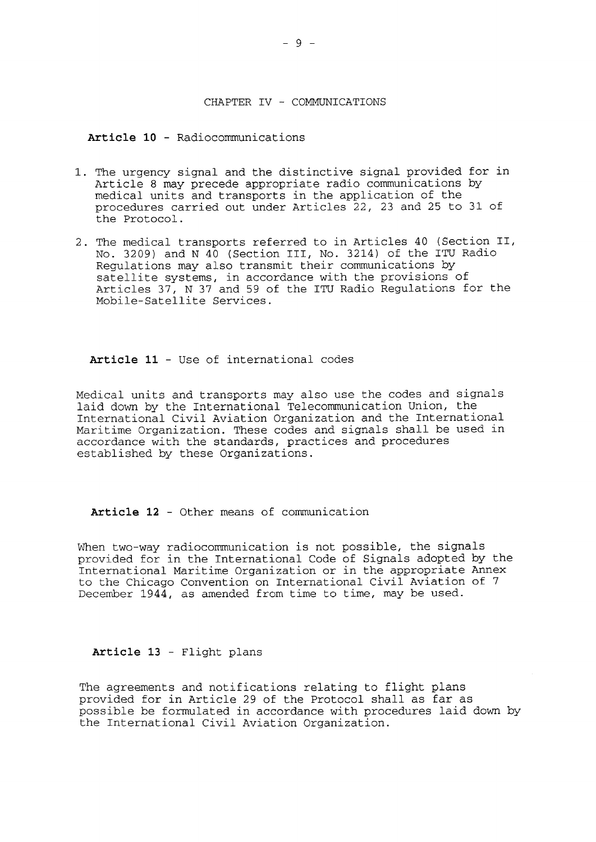CHAPTER IV - COMMUNICATIONS

**Article 10 -** Radiocommunications

- 1. The urgency signal and the distinctive signal provided for in Article 8 may precede appropriate radio communications by medical units and transports in the application of the procedures carried out under Articles 22, 23 and 25 to 31 of the Protocol.
- 2. The medical transports referred to in Articles 40 (Section II, No. 3209) and N 40 (Section III, No. 3214) of the ITU Radio Regulations may also transmit their communications by satellite systems, in accordance with the provisions of Articles 37, N 37 and 59 of the ITU Radio Regulations for the Mobile-Satellite Services.

**Article 11 -** Use of international codes

Medical units and transports may also use the codes and signals laid down by the International Telecommunication Union, the International Civil Aviation Organization and the International Maritime Organization. These codes and signals shall be used in accordance with the standards, practices and procedures established by these Organizations.

**Article 12 -** Other means of communication

When two-way radiocommunication is not possible, the signals provided for in the International Code of Signals adopted by the International Maritime Organization or in the appropriate Annex to the Chicago Convention on International Civil Aviation of 7 December 1944, as amended from time to time, may be used.

**Article 13 -** Flight plans

The agreements and notifications relating to flight plans provided for in Article 29 of the Protocol shall as far as possible be formulated in accordance with procedures laid down by the International Civil Aviation Organization.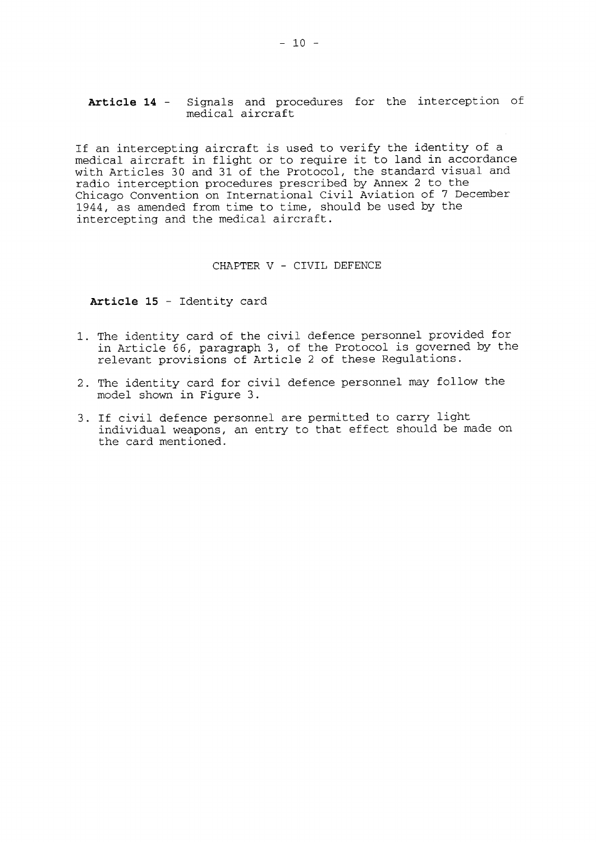**Article 14 -** Signals and procedures for the interception of medical aircraft

If an intercepting aircraft is used to verify the identity of a medical aircraft in flight or to require it to land in accordance with Articles 30 and 31 of the Protocol, the standard visual and radio interception procedures prescribed by Annex 2 to the Chicago Convention on International Civil Aviation of 7 December 1944, as amended from time to time, should be used by the intercepting and the medical aircraft.

## CHAPTER V - CIVIL DEFENCE

**Article 15 -** Identity card

- 1. The identity card of the civil defence personnel provided for in Article 66, paragraph 3, of the Protocol is governed by the relevant provisions of Article 2 of these Regulations.
- 2. The identity card for civil defence personnel may follow the model shown in Figure 3.
- 3. If civil defence personnel are permitted to carry light individual weapons, an entry to that effect should be made on the card mentioned.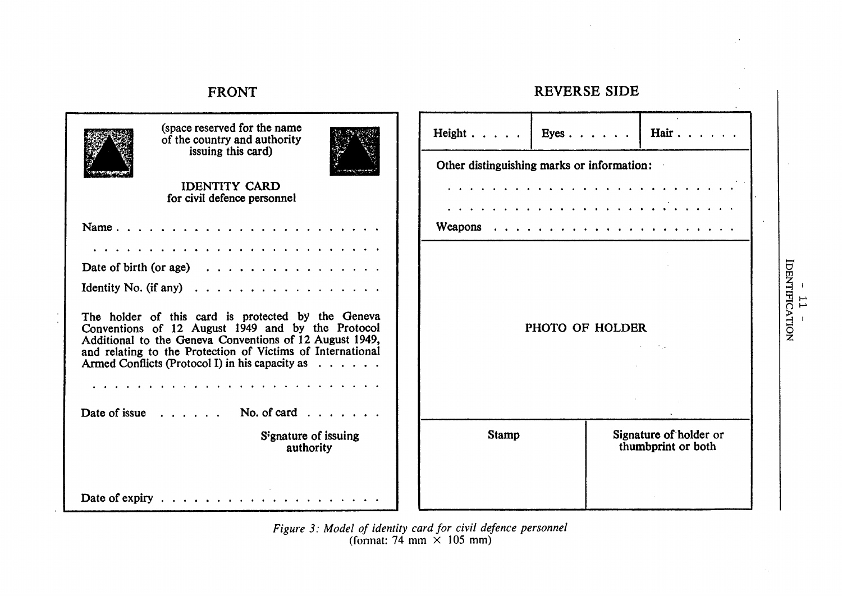| <b>FRONT</b>                                                                                                                                                                                                                                                                                                                                                                              | <b>REVERSE SIDE</b>                         |                      |                                              |  |  |
|-------------------------------------------------------------------------------------------------------------------------------------------------------------------------------------------------------------------------------------------------------------------------------------------------------------------------------------------------------------------------------------------|---------------------------------------------|----------------------|----------------------------------------------|--|--|
| (space reserved for the name)<br>of the country and authority<br>issuing this card)                                                                                                                                                                                                                                                                                                       | Height $\ldots$ .                           | $Eyes \ldots \ldots$ | Hair.                                        |  |  |
|                                                                                                                                                                                                                                                                                                                                                                                           | Other distinguishing marks or information:  |                      |                                              |  |  |
| <b>IDENTITY CARD</b><br>for civil defence personnel                                                                                                                                                                                                                                                                                                                                       |                                             |                      |                                              |  |  |
|                                                                                                                                                                                                                                                                                                                                                                                           |                                             |                      |                                              |  |  |
|                                                                                                                                                                                                                                                                                                                                                                                           |                                             |                      |                                              |  |  |
| Date of birth (or age) $\ldots$ $\ldots$ $\ldots$ $\ldots$ $\ldots$ $\ldots$                                                                                                                                                                                                                                                                                                              |                                             |                      |                                              |  |  |
| Identity No. (if any) $\ldots$ $\ldots$ $\ldots$ $\ldots$ $\ldots$ $\ldots$ $\ldots$<br>The holder of this card is protected by the Geneva<br>Conventions of 12 August 1949 and by the Protocol<br>Additional to the Geneva Conventions of 12 August 1949,<br>and relating to the Protection of Victims of International<br>Armed Conflicts (Protocol I) in his capacity as $\dots \dots$ | PHOTO OF HOLDER<br>$\sim 10^{11}$ m $^{-1}$ |                      |                                              |  |  |
| Date of issue $\ldots$ , $\ldots$ No. of card $\ldots$ , $\ldots$                                                                                                                                                                                                                                                                                                                         |                                             |                      |                                              |  |  |
| Signature of issuing<br>authority                                                                                                                                                                                                                                                                                                                                                         | <b>Stamp</b>                                |                      | Signature of holder or<br>thumbprint or both |  |  |
|                                                                                                                                                                                                                                                                                                                                                                                           |                                             |                      |                                              |  |  |

*Figure 3: Model of identity card for civil defence personnel* (format: 74 mm  $\times$  105 mm)

 $- \frac{11}{11} -$  IDENTIFICATION

 $\mathbb{R}^4$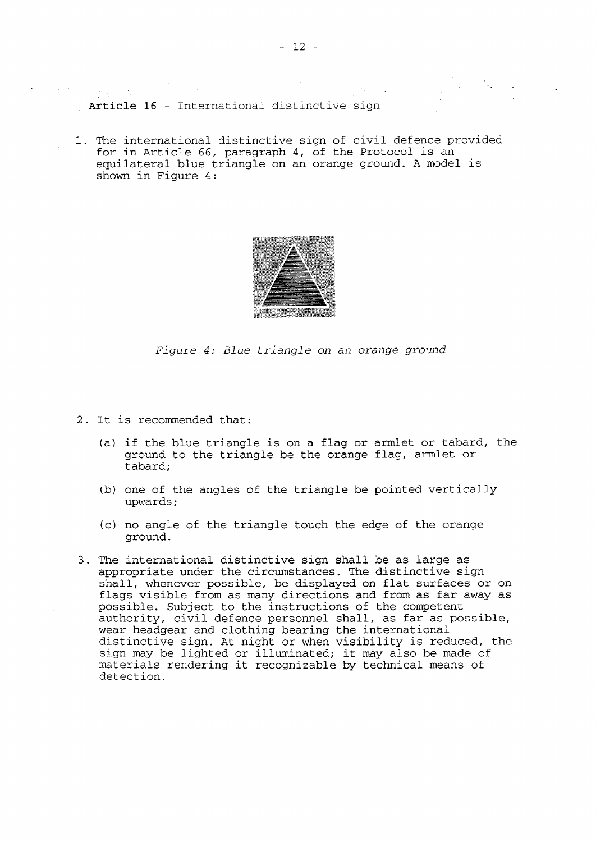Article 16 - International distinctive sign

1. The international distinctive sign of civil defence provided for in Article 66, paragraph 4, of the Protocol is an equilateral blue triangle on an orange ground. A model is shown in Figure 4:



*Figure 4: Blue triangle on an orange ground*

- 2. It is recommended that:
	- (a) if the blue triangle is on a flag or armlet or tabard, the ground to the triangle be the orange flag, armlet or tabard;
	- (b) one of the angles of the triangle be pointed vertically upwards;
	- (c) no angle of the triangle touch the edge of the orange ground.
- 3. The international distinctive sign shall be as large as appropriate under the circumstances. The distinctive sign shall, whenever possible, be displayed on flat surfaces or on flags visible from as many directions and from as far away as possible. Subject to the instructions of the competent authority, civil defence personnel shall, as far as possible, wear headgear and clothing bearing the international distinctive sign. At night or when visibility is reduced, the sign may be lighted or illuminated; it may also be made of materials rendering it recognizable by technical means of detection.